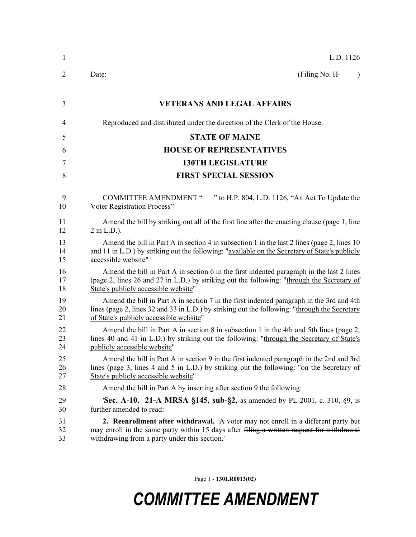| 1              | L.D. 1126                                                                                                                                                                                                                             |
|----------------|---------------------------------------------------------------------------------------------------------------------------------------------------------------------------------------------------------------------------------------|
| 2              | (Filing No. H-<br>Date:<br>$\lambda$                                                                                                                                                                                                  |
| 3              | <b>VETERANS AND LEGAL AFFAIRS</b>                                                                                                                                                                                                     |
| 4              | Reproduced and distributed under the direction of the Clerk of the House.                                                                                                                                                             |
| 5              | <b>STATE OF MAINE</b>                                                                                                                                                                                                                 |
| 6              | <b>HOUSE OF REPRESENTATIVES</b>                                                                                                                                                                                                       |
| 7              | <b>130TH LEGISLATURE</b>                                                                                                                                                                                                              |
| 8              | <b>FIRST SPECIAL SESSION</b>                                                                                                                                                                                                          |
| 9<br>10        | <b>COMMITTEE AMENDMENT "</b><br>" to H.P. 804, L.D. 1126, "An Act To Update the<br>Voter Registration Process"                                                                                                                        |
| 11<br>12       | Amend the bill by striking out all of the first line after the enacting clause (page 1, line<br>$2$ in L.D.).                                                                                                                         |
| 13<br>14<br>15 | Amend the bill in Part A in section 4 in subsection 1 in the last 2 lines (page 2, lines 10<br>and 11 in L.D.) by striking out the following: "available on the Secretary of State's publicly<br>accessible website"                  |
| 16<br>17<br>18 | Amend the bill in Part A in section 6 in the first indented paragraph in the last 2 lines<br>(page 2, lines 26 and 27 in L.D.) by striking out the following: "through the Secretary of<br>State's publicly accessible website"       |
| 19<br>20<br>21 | Amend the bill in Part A in section 7 in the first indented paragraph in the 3rd and 4th<br>lines (page 2, lines 32 and 33 in L.D.) by striking out the following: "through the Secretary<br>of State's publicly accessible website"  |
| 22<br>23<br>24 | Amend the bill in Part A in section 8 in subsection 1 in the 4th and 5th lines (page 2,<br>lines 40 and 41 in L.D.) by striking out the following: "through the Secretary of State's<br>publicly accessible website"                  |
| 25<br>26<br>27 | Amend the bill in Part A in section 9 in the first indented paragraph in the 2nd and 3rd<br>lines (page 3, lines 4 and 5 in L.D.) by striking out the following: "on the Secretary of<br>State's publicly accessible website"         |
| 28             | Amend the bill in Part A by inserting after section 9 the following:                                                                                                                                                                  |
| 29<br>30       | <b>Sec. A-10. 21-A MRSA §145, sub-§2,</b> as amended by PL 2001, c. 310, §9, is<br>further amended to read:                                                                                                                           |
| 31<br>32<br>33 | <b>2. Reenrollment after withdrawal.</b> A voter may not enroll in a different party but<br>may enroll in the same party within 15 days after filing a written request for withdrawal<br>withdrawing from a party under this section. |

Page 1 - **130LR0013(02)**

## *COMMITTEE AMENDMENT*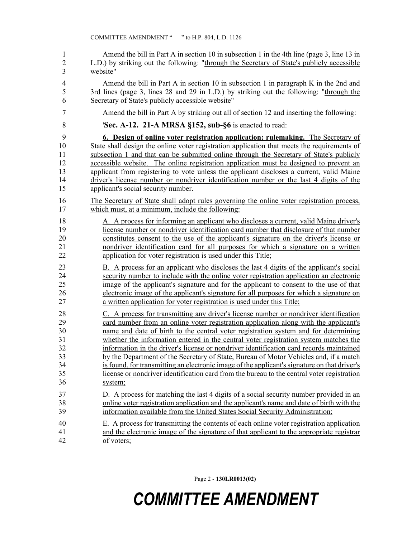1 Amend the bill in Part A in section 10 in subsection 1 in the 4th line (page 3, line 13 in 2 L.D.) by striking out the following: "through the Secretary of State's publicly accessible 3 website" 4 Amend the bill in Part A in section 10 in subsection 1 in paragraph K in the 2nd and 5 3rd lines (page 3, lines 28 and 29 in L.D.) by striking out the following: "through the 6 Secretary of State's publicly accessible website" 7 Amend the bill in Part A by striking out all of section 12 and inserting the following: 8 '**Sec. A-12. 21-A MRSA §152, sub-§6** is enacted to read: 9 **6. Design of online voter registration application; rulemaking.** The Secretary of 10 State shall design the online voter registration application that meets the requirements of 11 subsection 1 and that can be submitted online through the Secretary of State's publicly 12 accessible website. The online registration application must be designed to prevent an 13 applicant from registering to vote unless the applicant discloses a current, valid Maine 14 driver's license number or nondriver identification number or the last 4 digits of the 15 applicant's social security number. 16 The Secretary of State shall adopt rules governing the online voter registration process, 17 which must, at a minimum, include the following: 18 A. A process for informing an applicant who discloses a current, valid Maine driver's 19 license number or nondriver identification card number that disclosure of that number 20 constitutes consent to the use of the applicant's signature on the driver's license or 21 nondriver identification card for all purposes for which a signature on a written 22 application for voter registration is used under this Title; 23 B. A process for an applicant who discloses the last 4 digits of the applicant's social 24 security number to include with the online voter registration application an electronic 25 image of the applicant's signature and for the applicant to consent to the use of that 26 electronic image of the applicant's signature for all purposes for which a signature on 27 a written application for voter registration is used under this Title; 28 C. A process for transmitting any driver's license number or nondriver identification 29 card number from an online voter registration application along with the applicant's 30 name and date of birth to the central voter registration system and for determining 31 whether the information entered in the central voter registration system matches the 32 information in the driver's license or nondriver identification card records maintained 33 by the Department of the Secretary of State, Bureau of Motor Vehicles and, if a match 34 is found, for transmitting an electronic image of the applicant's signature on that driver's 35 license or nondriver identification card from the bureau to the central voter registration 36 system; 37 D. A process for matching the last 4 digits of a social security number provided in an 38 online voter registration application and the applicant's name and date of birth with the 39 information available from the United States Social Security Administration; 40 E. A process for transmitting the contents of each online voter registration application 41 and the electronic image of the signature of that applicant to the appropriate registrar 42 of voters;

Page 2 - **130LR0013(02)**

## *COMMITTEE AMENDMENT*